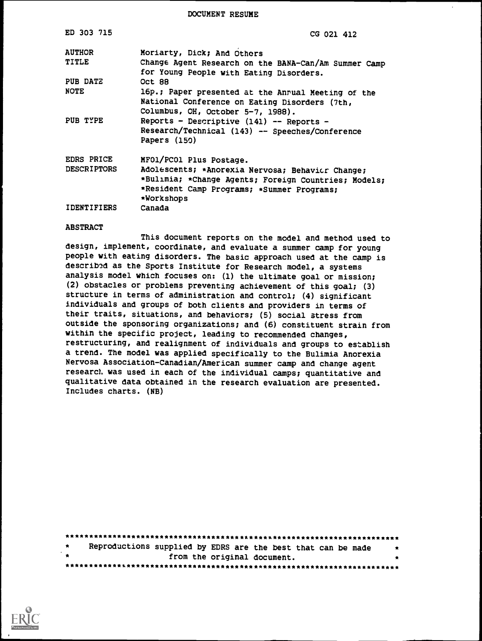DOCUMENT RESUME

 $\bar{1}$ 

| ED 303 715                    | CG 021 412                                                                                          |
|-------------------------------|-----------------------------------------------------------------------------------------------------|
| <b>AUTHOR</b><br><b>TITLE</b> | Moriarty, Dick; And Others<br>Change Agent Research on the BANA-Can/Am Summer Camp                  |
|                               | for Young People with Eating Disorders.                                                             |
| PUB DATZ                      | <b>Oct 88</b>                                                                                       |
| <b>NOTE</b>                   | 16p.; Paper presented at the Anrual Meeting of the<br>National Conference on Eating Disorders (7th, |
|                               | Columbus, OH, October 5-7, 1988).                                                                   |
| PUB TYPE                      | Reports - Descriptive (141) -- Reports -                                                            |
|                               | Research/Technical (143) -- Speeches/Conference<br>Papers (150)                                     |
| EDRS PRICE                    | MFO1/PCO1 Plus Postage.                                                                             |
| <b>DESCRIPTORS</b>            | Adolescents; *Anorexia Nervosa; Behavicr Change;                                                    |
|                               | *Bulimia; *Change Agents; Foreign Countries; Models;<br>*Resident Camp Programs; *Summer Programs;  |
|                               | *Workshops                                                                                          |
| <b>IDENTIFIERS</b>            | Canada                                                                                              |

#### ABSTRACT

This document reports on the model and method used to design, implement, coordinate, and evaluate a summer camp for young people with eating disorders. The basic approach used at the camp is described as the Sports Institute for Research model, a systems analysis model which focuses on: (1) the ultimate goal or mission; (2) obstacles or problems preventing achievement of this goal; (3) structure in terms of administration and control; (4) significant individuals and groups of both clients and providers in terms of their traits, situations, and behaviors; (5) social stress from outside the sponsoring organizations; and (6) constituent strain from within the specific project, leading to recommended changes, restructuring, and realignment of individuals and groups to establish a trend. The model was applied specifically to the Bulimia Anorexia Nervosa Association-Canadian/American summer camp and change agent research was used in each of the individual camps; quantitative and qualitative data obtained in the research evaluation are presented. Includes charts. (NB)

| 大家 | Reproductions supplied by EDRS are the best that can be made |   |
|----|--------------------------------------------------------------|---|
| 大家 | from the original document.                                  | * |
|    |                                                              |   |

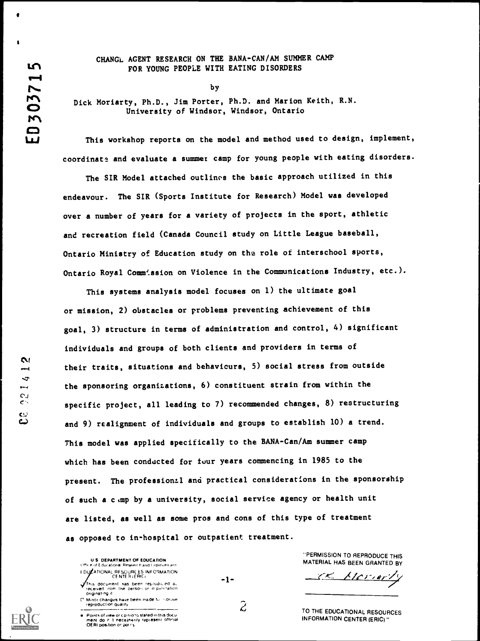$\mathbf{N}$ 

 $\overline{v}$ 

۲.)<br>د

 $\omega$ ట

 $\bullet$  is a set of  $\bullet$ 

#### CHANGL AGENT RESEARCH ON THE BANA-CAN/AM SUMMER CAMP FOR YOUNG PEOPLE WITH EATING DISORDERS

by

Dick Moriarty, Ph.D., Jim Porter, Ph.D. and Marion Keith, R.N. University of Windsor, Windsor, Ontario

This workshop reports on the model and method used to design, implement, coordinate and evaluate a summer camp for young people with eating disorders.

The SIR Model attached outlines the basic approach utilized in this endeavour. The SIR (Sports Institute for Research) Model was developed over a number of years for a variety of projects in the sport, athletic and recreation field (Canada Council study on Little League baseball, Ontario Ministry of Education study on the role of interschool sports, Ontario Royal Comm'ssion on Violence in the Communications Industry, etc.).

This systems analysis model focuses on 1) the ultimate goal or mission, 2) obstacles or problems preventing achievement of this goal, 3) structure in terms of administration and control, 4) significant individuals and groups of both clients and providers in terms of their traits, situations and behaviours, 5) social stress from outside the sponsoring organizations, 6) constituent strain from within the specific project, all leading to 7) recommended changes, 8) restructuring and 9) realignment of individuals and groups to establish 10) a trend. This model was applied specifically to the BANA-Can/Am summer camp which has been conducted for four years commencing in 1985 to the present. The professional and practical considerations in the sponsorship of such a camp by a university, social service agency or health unit are listed, as well as some pros and cons of this type of treatment as opposed to in-hospital or outpatient treatment.

U S DEPARTMENT OF EDUCATION Little e of Educational Research and I inproven ent F DUCATIONAL RESOURCES INFORMATION<br>CENTER (ERIC) This document has been reproduced al-<br>- received from the person or 0 panitation

Of pgtnet.ng fvt.nnr changes have been made to ',prove reptpducttor quality



Points of view or cp nions stated in this docu<br>ment: do in it ineceasarily represent loftmal<br>OERI position or por cy

"PERMISSION TO REPRODUCE THIS MATERIAL HAS BEEN GRANTED BY

<u>Meriert</u>

 $\widetilde{\mathcal{L}}$ 

-1-

TO THE EDUCATIONAL RESOURCES INFORMATION CENTER (ERIC)"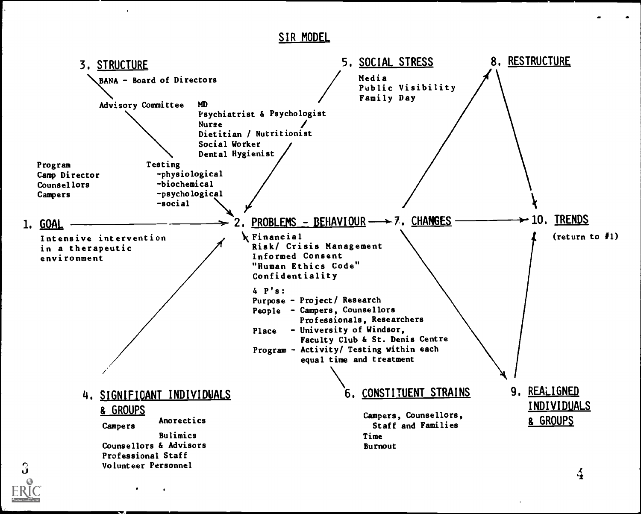SIR MODEL

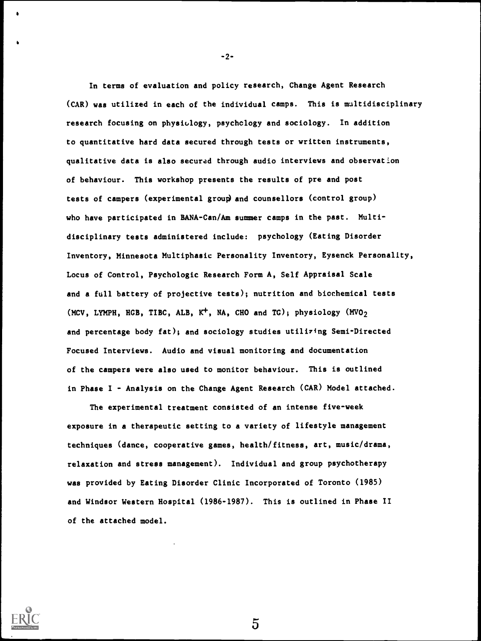In terms of evaluation and policy research, Change Agent Research (CAR) was utilized in each of the individual camps. This is multidisciplinary research focusing on physiology, psychology and sociology. In addition to quantitative hard data secured through tests or written instruments, qualitative data is also secured through audio interviews and observation of behaviour. This workshop presents the results of pre and post tests of campers (experimental group) and counsellors (control group) who have participated in BANA-Can/Am summer camps in the past. Multidisciplinary tests administered include: psychology (Eating Disorder Inventory, Minnesota Multiphasic Personality Inventory, Eysenck Personality, Locus of Control, Psychologic Research Form A, Self Appraisal Scale and a full battery of projective tests); nutrition and biochemical tests (MCV, LYMPH, HGB, TIBC, ALB,  $K^+$ , NA, CHO and TG); physiology (MVO<sub>2</sub>) and percentage body fat); and sociology studies utilizing Semi-Directed Focused Interviews. Audio and visual monitoring and documentation of the campers were also used to monitor behaviour. This is outlined in Phase I - Analysis on the Change Agent Research (CAR) Model attached.

The experimental treatment consisted of an intense five-week exposure in a therapeutic setting to a variety of lifestyle management techniques (dance, cooperative games, health/fitness, art, music/drama, relaxation and stress management). Individual and group psychotherapy was provided by Eating Disorder Clinic Incorporated of Toronto (1985) and Windsor Western Hospital (1986-1987). This is outlined in Phase II of the attached model.



-2-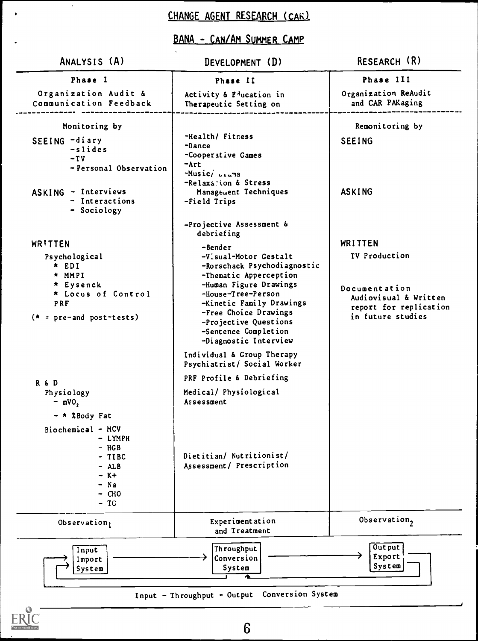# CHANGE AGENT RESEARCH (CAR)

 $\ddot{\phantom{0}}$ 

 $\bullet$ 

## BANA - CAN/AM SUMMER CAMP

| ANALYSIS (A)                                                                                                                                                                                                                                                              | DEVELOPMENT (D)                                                                                                                                                                                                                                                                                                                                                                                                                                                                                             | RESEARCH (R)                                                                                                      |  |
|---------------------------------------------------------------------------------------------------------------------------------------------------------------------------------------------------------------------------------------------------------------------------|-------------------------------------------------------------------------------------------------------------------------------------------------------------------------------------------------------------------------------------------------------------------------------------------------------------------------------------------------------------------------------------------------------------------------------------------------------------------------------------------------------------|-------------------------------------------------------------------------------------------------------------------|--|
| Phase I                                                                                                                                                                                                                                                                   | Phase II                                                                                                                                                                                                                                                                                                                                                                                                                                                                                                    | Phase III<br>Organization ReAudit<br>and CAR PAKaging<br>Remonitoring by<br><b>SEEING</b><br><b>ASKING</b>        |  |
| Organization Audit &<br>Communication Feedback                                                                                                                                                                                                                            | Activity & P <sup>l</sup> ucation in<br>Therapeutic Setting on                                                                                                                                                                                                                                                                                                                                                                                                                                              |                                                                                                                   |  |
| Monitoring by<br>SEEING -diary<br>-slides<br>$-TV$<br>- Personal Observation<br>ASKING - Interviews<br>- Interactions<br>- Sociology                                                                                                                                      | -Health/ Fitness<br>-Dance<br>-Cooperative Games<br>-Art<br>$-Musici$ $ui$ $u3$<br>-Relaxation & Stress<br>Management Techniques<br>-Field Trips                                                                                                                                                                                                                                                                                                                                                            |                                                                                                                   |  |
| WRITTEN<br>Psychological<br>$*$ EDI<br>* MMPI<br>* Eysenck<br>* Locus of Control<br>PRF<br>$(* = pre-and post-tests)$<br>R & D<br>Physiology<br>$-$ mVO,<br>- * %Body Fat<br>Biochemical - MCV<br>- LYMPH<br>$-$ HGB<br>- TIBC<br>$- ALB$<br>$- K +$<br>$- Na$<br>$-$ CHO | -Projective Assessment &<br>debriefing<br>-Bender<br>-Visual-Motor Gestalt<br>-Rorschack Psychodiagnostic<br>-Thematic Apperception<br>-Human Figure Drawings<br>-House-Tree-Person<br>-Kinetic Family Drawings<br>-Free Choice Drawings<br>-Projective Questions<br>-Sentence Completion<br>-Diagnostic Interview<br>Individual & Group Therapy<br>Psychiatrist/ Social Worker<br>PRF Profile & Debriefing<br>Medical/ Physiological<br>Assessment<br>Dietitian/ Nutritionist/<br>Assessment/ Prescription | WRITTEN<br>TV Production<br>Documentation<br>Audiovisual & Written<br>report for replication<br>in future studies |  |
| $-TC$<br>Observation                                                                                                                                                                                                                                                      | Experimentation<br>and Treatment                                                                                                                                                                                                                                                                                                                                                                                                                                                                            | Observation,                                                                                                      |  |



6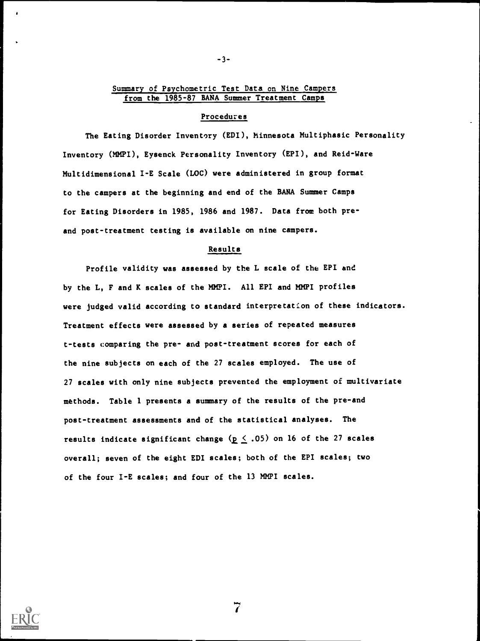#### Summary of Psychometric Test Data on Nine Campers from the 1985-87 BANA Summer Treatment Camps

-3-

#### Procedures

The Eating Disorder Inventory (EDI), Minnesota Multiphasic Personality Inventory (MMPI), Eysenck Personality Inventory (EPI), and Reid-Ware Multidimensional I-E Scale (LOC) were administered in group format to the campers at the beginning and end of the BANA Summer Camps for Eating Disorders in 1985, 1986 and 1987. Data from both preand post-treatment testing is available on nine campers.

#### Results

Profile validity was assessed by the L scale of the EPI and by the L, F and K scales of the MMPI. All EPI and MMPI profiles were judged valid according to standard interpretation of these indicators. Treatment effects were assessed by a series of repeated measures t-tests comparing the pre- and post-treatment scores for each of the nine subjects on each of the 27 scales employed. The use of 27 scales with only nine subjects prevented the employment of multivariate methods. Table 1 presents a summary of the results of the pre-and post-treatment assessments and of the statistical analyses. The results indicate significant change ( $p \le .05$ ) on 16 of the 27 scales overall; seven of the eight EDI scales; both of the EPI scales; two of the four I-E scales; and four of the 13 MMPI scales.

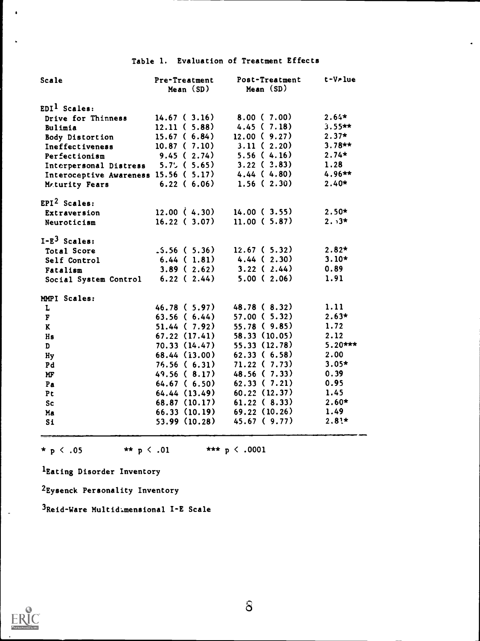## Table 1. Evaluation of Treatment Effects

| Scale                                                    | Pre-Treatment<br>Mean(SD) | Post-Treatment<br>Mean (SD)         | t-V-lue   |
|----------------------------------------------------------|---------------------------|-------------------------------------|-----------|
|                                                          |                           |                                     |           |
| $EDI1$ Scales:                                           |                           |                                     |           |
| Drive for Thinness                                       | 14.67(3.16)               | 8.00(7.00)                          | $2.64*$   |
| Bulimia                                                  | 12.11(5.88)               | 4.45(7.18)                          | $3.55**$  |
| <b>Body Distortion</b>                                   | 15.67(6.84)               | 12.00(9.27)                         | $2.37*$   |
| Ineffectiveness                                          | 10.87(7.10)               | 3.11(2.20)                          | $3.78**$  |
| Perfectionism                                            |                           | 9.45(2.74) 5.56(4.16)               | $2.74*$   |
| Interpersonal Distress 5.7% (5.65)                       |                           | $3.22$ ( $3.83$ )                   | 1.28      |
| Interoceptive Awareness 15.56 ( $5.17$ ) 4.44 ( $4.80$ ) |                           |                                     | $4.96**$  |
| Maturity Fears                                           | 6.22(6.06)                | 1.56(2.30)                          | $2.40*$   |
| $EPI2$ Scales:                                           |                           |                                     |           |
| Extraversion                                             | 12.00 $(4.30)$            | 14.00 (3.55)                        | $2.50*$   |
| Neuroticism                                              | 16.22(3.07)               | 11.00(5.87)                         | $2.3*$    |
| $I-E3$ Scales:                                           |                           |                                     |           |
| Total Score                                              | $.5.56$ ( $5.36$ )        | 12.67(5.32)                         | $2.82*$   |
| Self Control                                             |                           | $6.44$ ( 1.81) $4.44$ ( 2.30)       | $3.10*$   |
| Fatalism                                                 |                           | $3.89$ ( $2.62$ ) $3.22$ ( $2.44$ ) | 0.89      |
| Social System Control 6.22 (2.44)                        |                           | 5.00(2.06)                          | 1.91      |
| MMPI Scales:                                             |                           |                                     |           |
| L                                                        | 46.78 ( 5.97)             | 48.78(8.32)                         | 1.11      |
| $\overline{\textbf{F}}$                                  | 63.56(6.44)               | 57.00(5.32)                         | $2.63*$   |
| $\mathbf{K}$                                             | 51.44(7.92)               | 55.78(9.85)                         | 1.72      |
| Hs                                                       | 67.22 (17.41)             | 58.33 (10.05)                       | 2.12      |
| D                                                        | 70.33 (14.47)             | 55.33(12.78)                        | $5.20***$ |
| Hy                                                       | 68.44 (13.00)             | 62.33(6.58)                         | 2.00      |
| Pd                                                       | 76.56(6.31)               | 71.22(7.73)                         | $3.05*$   |
| MF                                                       | 49.56(8.17)               | 48.56 ( 7.33)                       | 0.39      |
| Pa                                                       | 64.67 ( 6.50)             | 62.33(7.21)                         | 0.95      |
| Pt                                                       |                           | $64.44$ $(13.49)$ $60.22$ $(12.37)$ | 1.45      |
| <b>Sc</b>                                                |                           | 68.87 (10.17) 61.22 (8.33)          | $2.60*$   |
| Ma                                                       |                           | $66.33(10.19)$ $69.22(10.26)$       | 1.49      |
| S1                                                       |                           | $53.99(10.28)$ 45.67 (9.77)         | $2.81*$   |

\* p < .05 \*\* p < .01 \*\*\* p < .0001

lEating Disorder Inventory

2Eysenck Personality Inventory

3Reid-Ware Multidimensional I-E Scale

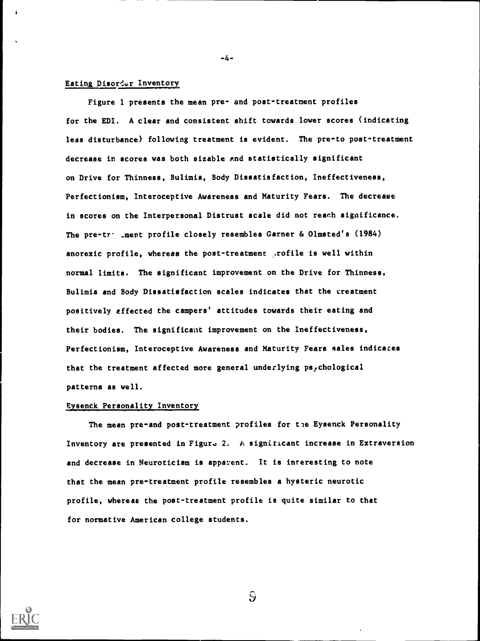#### Eating Disorder Inventory

Figure 1 presents the mean pre- and post-treatment profiles for the EDI. A clear and consistent shift towards lower scores (indicating less disturbance) following treatment is evident. The pre-to post-treatment decrease in scores was both sizable and statistically significant on Drive for Thinness, Bulimia, Body Dissatisfaction, Ineffectiveness, Perfectionism, Interoceptive Awareness and Maturity Fears. The decrease in scores on the Interpersonal Distrust scale did not reach significance. The pre-tr . ment profile closely resembles Garner & Olmsted's (1984) anorexic profile, whereas the post-treatment .rofile is well within normal limits. The significant improvement on the Drive for Thinness, Bulimia and Body Dissatisfaction scales indicates that the treatment positively effected the campers' attitudes towards their eating and their bodies. The significant improvement on the Ineffectiveness, Perfectionism, Interoceptive Awareness and Maturity Fears sales indicates that the treatment affected more general underlying psychological patterns as well.

-4-

#### Eysenck Personality Inventory

The mean pre-and post-treatment profiles for tie Eysenck Personality Inventory are presented in Figure 2. A significant increase in Extraversion and decrease in Neuroticism is apparent. It is interesting to note that the mean pre-treatment profile resembles a hysteric neurotic profile, whereas the post-treatment profile is quite similar to that for normative American college students.



 $\mathbf{\hat{S}}$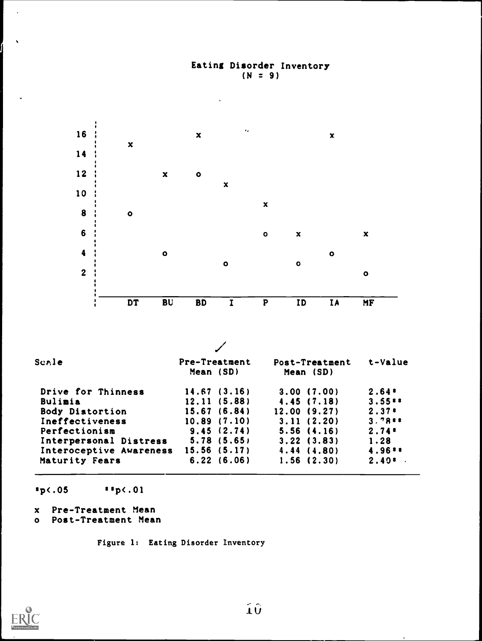## Eating Disorder Inventory  $(N = 9)$



 $*p$ (.05  $* p$ (.01

- x Pre-Treatment Mean
- o Post-Treatment Mean

Figure 1: Eating Disorder Inventory

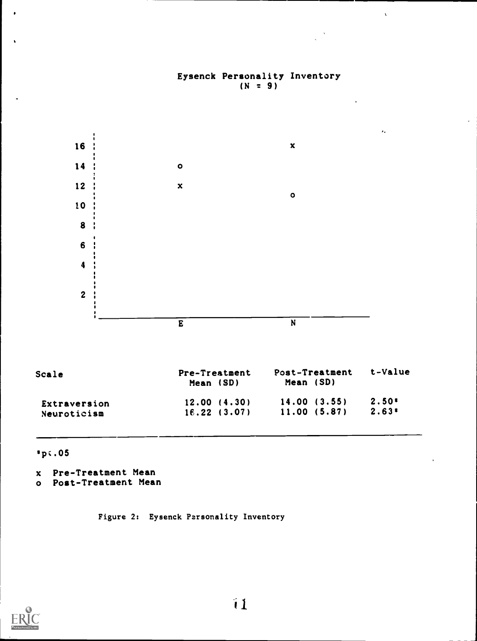

Eysenck Personality Inventory  $(N = 9)$ 

 $\lambda$ 

sp:.05

- x Pre-Treatment Mean
- o Post-Treatment Mean

Figure 2: Eysenck Personality Inventory

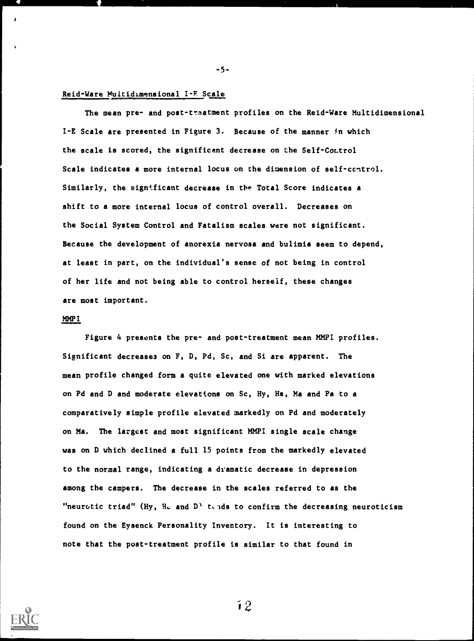#### Reid-Ware Multidimensional I-E Scale

-5-<br>
Reid-Ware Multidimensional I-E Scale<br>
The mean pre- and post-traatment profiles on the Reid-Ware Multidimensional<br>
I-E Scale are presented in Figure 3. Because of the manner in which<br>
the scale is scored, the signific The mean pre- and post-treatment profiles on the Reid-Ware Multidimensional I-E Scale are presented in Figure 3. Because of the manner in which the scale is scored, the significant decrease on the Self-Control Scale indicates a more internal locus on the dimension of self-control. Similarly, the significant decrease in the Total Score indicates a shift to a more internal locus of control overall. Decreases on the Social System Control and Fatalism scales were not significant. Because the development of anorexia nervosa and bulimia seem to depend, at least in part, on the individual's sense of not being in control of her life and not being able to control herself, these changes are most important.

-5-

#### MMP I

Figure 4 presents the pre- and post-treatment mean MMPI profiles. Significant decreases on F, D, Pd, Sc, and Si are apparent. The mean profile changed form a quite elevated one with marked elevations on Pd and D and moderate elevations on Sc, Hy, Hs, Ma and Pa to a comparatively simple profile elevated markedly on Pd and moderately on Ma. The largest and most significant MMPI single scale change was on D which declined a full 15 points from the markedly elevated to the normal range, indicating a dramatic decrease in depression among the campers. The decrease in the scales referred to as the "neurotic triad" (Hy, H<sub>ad</sub> and D<sup>)</sup> tends to confirm the decreasing neuroticism found on the Eysenck Personality Inventory. It is interesting to note that the post-treatment profile is similar to that found in



 $\mathbf{12}$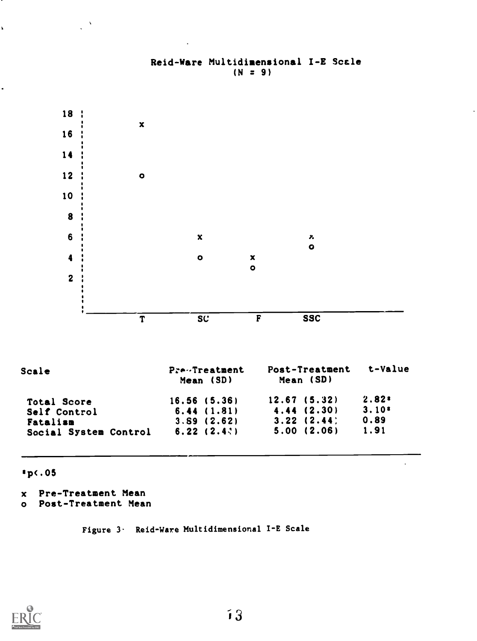

## Reid-Ware Multidimensional I-E Scale  $(N = 9)$

p(.05

x Pre-Treatment Mean

 $\frac{1}{2}$ 

 $\lambda$ 

o Post-Treatment Mean

Figure 3- Reid-Ware Multidimensional I-E Scale

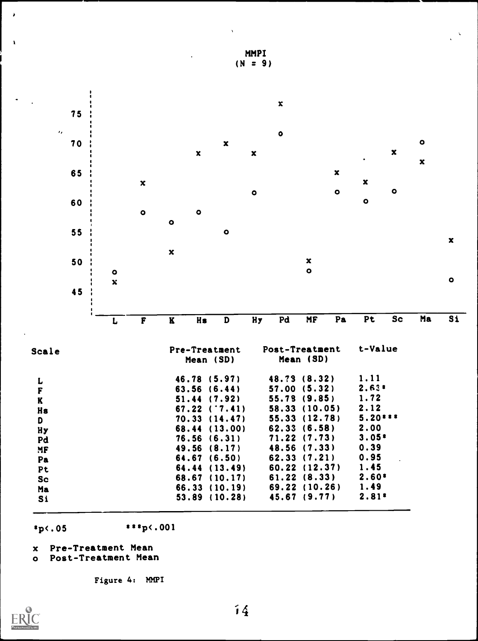

 $s_{p}$  (.05  $s_{p}$  ,001

- x Pre-Treatment Mean
- o Post-Treatment Mean

Figure 4: MMPI



MMPI  $(N = 9)$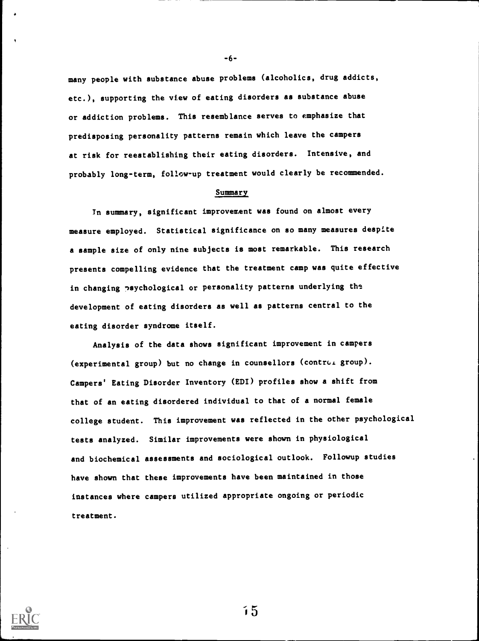many people with substance abuse problems (alcoholics, drug addicts, etc.), supporting the view of eating disorders as substance abuse or addiction problems. This resemblance serves to emphasize that predisposing personality patterns remain which leave the campers at risk for reestablishing their eating disorders. Intensive, and probably long-term, follow-up treatment would clearly be recommended.

-6-

#### Summary

In summary, significant improvement was found on almost every measure employed. Statistical significance on so many measures despite a sample size of only nine subjects is most remarkable. This research presents compelling evidence that the treatment camp was quite effective in changing psychological or personality patterns underlying the development of eating disorders as well as patterns central to the eating disorder syndrome itself.

Analysis of the data shows significant improvement in campers (experimental group) but no change in counsellors (contrui group). Campers' Eating Disorder Inventory (EDI) profiles show a shift from that of an eating disordered individual to that of a normal female college student. This improvement was reflected in the other psychological tests analyzed. Similar improvements were shown in physiological and biochemical assessments and sociological outlook. Followup studies have shown that these improvements have been maintained in those instances where campers utilized appropriate ongoing or periodic treatment.